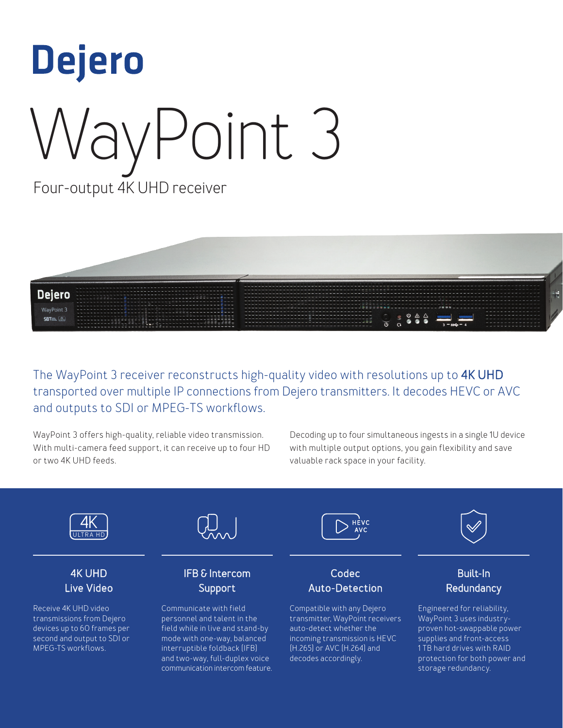



The WayPoint 3 receiver reconstructs high-quality video with resolutions up to 4K UHD transported over multiple IP connections from Dejero transmitters. It decodes HEVC or AVC and outputs to SDI or MPEG-TS workflows.

WayPoint 3 offers high-quality, reliable video transmission. With multi-camera feed support, it can receive up to four HD or two 4K UHD feeds.

Decoding up to four simultaneous ingests in a single 1U device with multiple output options, you gain flexibility and save valuable rack space in your facility.